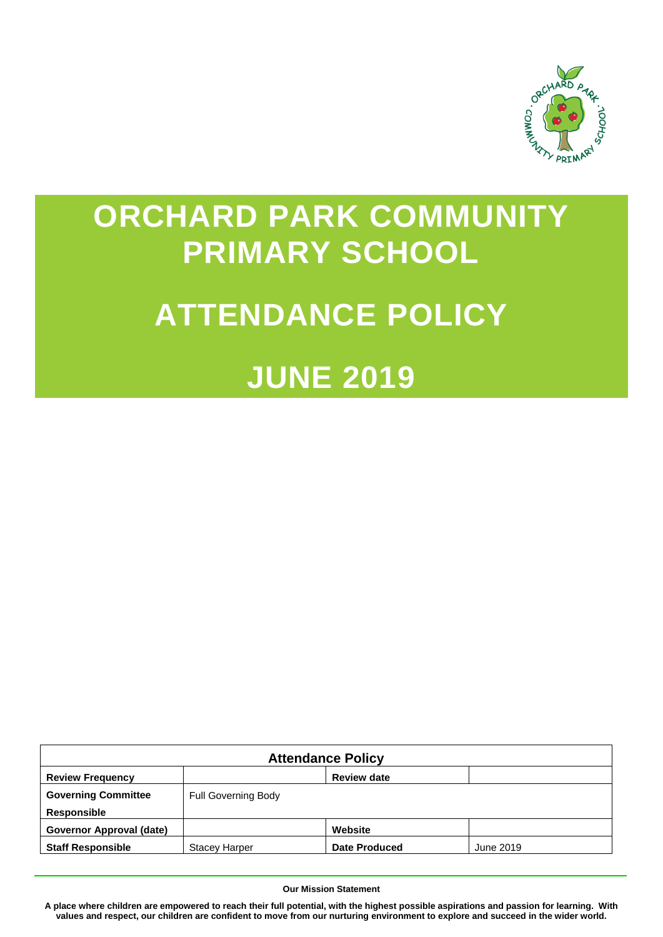

# **ORCHARD PARK COMMUNITY PRIMARY SCHOOL**

# **ATTENDANCE POLICY**

# **JUNE 2019**

| <b>Attendance Policy</b>   |                            |                    |           |  |  |
|----------------------------|----------------------------|--------------------|-----------|--|--|
| <b>Review Frequency</b>    |                            | <b>Review date</b> |           |  |  |
| <b>Governing Committee</b> | <b>Full Governing Body</b> |                    |           |  |  |
| <b>Responsible</b>         |                            |                    |           |  |  |
| Governor Approval (date)   |                            | Website            |           |  |  |
| <b>Staff Responsible</b>   | <b>Stacey Harper</b>       | Date Produced      | June 2019 |  |  |

#### **Our Mission Statement**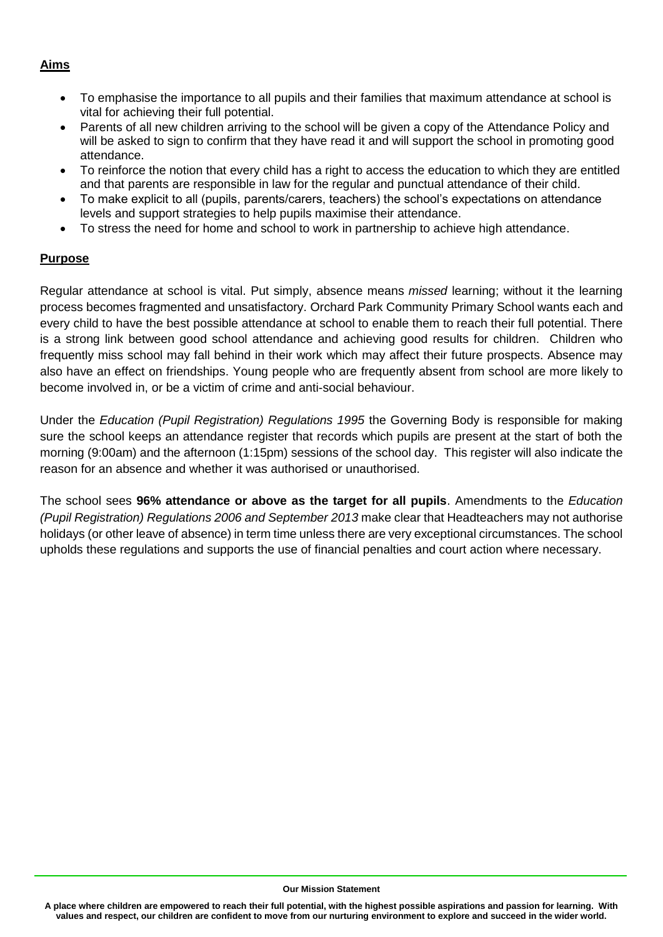### **Aims**

- To emphasise the importance to all pupils and their families that maximum attendance at school is vital for achieving their full potential.
- Parents of all new children arriving to the school will be given a copy of the Attendance Policy and will be asked to sign to confirm that they have read it and will support the school in promoting good attendance.
- To reinforce the notion that every child has a right to access the education to which they are entitled and that parents are responsible in law for the regular and punctual attendance of their child.
- To make explicit to all (pupils, parents/carers, teachers) the school's expectations on attendance levels and support strategies to help pupils maximise their attendance.
- To stress the need for home and school to work in partnership to achieve high attendance.

# **Purpose**

Regular attendance at school is vital. Put simply, absence means *missed* learning; without it the learning process becomes fragmented and unsatisfactory. Orchard Park Community Primary School wants each and every child to have the best possible attendance at school to enable them to reach their full potential. There is a strong link between good school attendance and achieving good results for children. Children who frequently miss school may fall behind in their work which may affect their future prospects. Absence may also have an effect on friendships. Young people who are frequently absent from school are more likely to become involved in, or be a victim of crime and anti-social behaviour.

Under the *Education (Pupil Registration) Regulations 1995* the Governing Body is responsible for making sure the school keeps an attendance register that records which pupils are present at the start of both the morning (9:00am) and the afternoon (1:15pm) sessions of the school day. This register will also indicate the reason for an absence and whether it was authorised or unauthorised.

The school sees **96% attendance or above as the target for all pupils**. Amendments to the *Education (Pupil Registration) Regulations 2006 and September 2013* make clear that Headteachers may not authorise holidays (or other leave of absence) in term time unless there are very exceptional circumstances. The school upholds these regulations and supports the use of financial penalties and court action where necessary.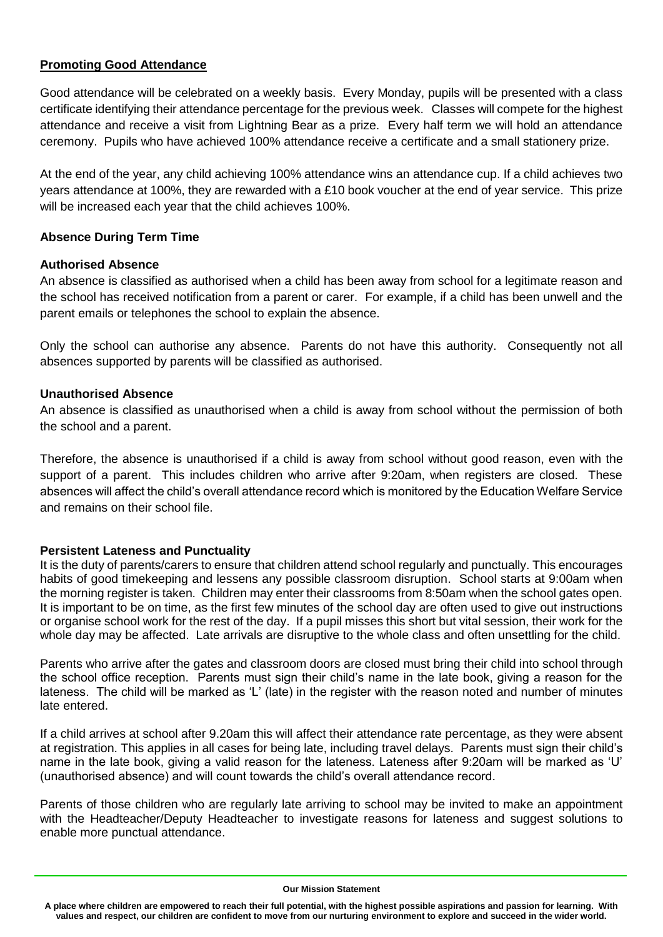### **Promoting Good Attendance**

Good attendance will be celebrated on a weekly basis. Every Monday, pupils will be presented with a class certificate identifying their attendance percentage for the previous week. Classes will compete for the highest attendance and receive a visit from Lightning Bear as a prize. Every half term we will hold an attendance ceremony. Pupils who have achieved 100% attendance receive a certificate and a small stationery prize.

At the end of the year, any child achieving 100% attendance wins an attendance cup. If a child achieves two years attendance at 100%, they are rewarded with a £10 book voucher at the end of year service. This prize will be increased each year that the child achieves 100%.

# **Absence During Term Time**

#### **Authorised Absence**

An absence is classified as authorised when a child has been away from school for a legitimate reason and the school has received notification from a parent or carer. For example, if a child has been unwell and the parent emails or telephones the school to explain the absence.

Only the school can authorise any absence. Parents do not have this authority. Consequently not all absences supported by parents will be classified as authorised.

#### **Unauthorised Absence**

An absence is classified as unauthorised when a child is away from school without the permission of both the school and a parent.

Therefore, the absence is unauthorised if a child is away from school without good reason, even with the support of a parent. This includes children who arrive after 9:20am, when registers are closed. These absences will affect the child's overall attendance record which is monitored by the Education Welfare Service and remains on their school file.

#### **Persistent Lateness and Punctuality**

It is the duty of parents/carers to ensure that children attend school regularly and punctually. This encourages habits of good timekeeping and lessens any possible classroom disruption. School starts at 9:00am when the morning register is taken. Children may enter their classrooms from 8:50am when the school gates open. It is important to be on time, as the first few minutes of the school day are often used to give out instructions or organise school work for the rest of the day. If a pupil misses this short but vital session, their work for the whole day may be affected. Late arrivals are disruptive to the whole class and often unsettling for the child.

Parents who arrive after the gates and classroom doors are closed must bring their child into school through the school office reception. Parents must sign their child's name in the late book, giving a reason for the lateness. The child will be marked as 'L' (late) in the register with the reason noted and number of minutes late entered.

If a child arrives at school after 9.20am this will affect their attendance rate percentage, as they were absent at registration. This applies in all cases for being late, including travel delays. Parents must sign their child's name in the late book, giving a valid reason for the lateness. Lateness after 9:20am will be marked as 'U' (unauthorised absence) and will count towards the child's overall attendance record.

Parents of those children who are regularly late arriving to school may be invited to make an appointment with the Headteacher/Deputy Headteacher to investigate reasons for lateness and suggest solutions to enable more punctual attendance.

#### **Our Mission Statement**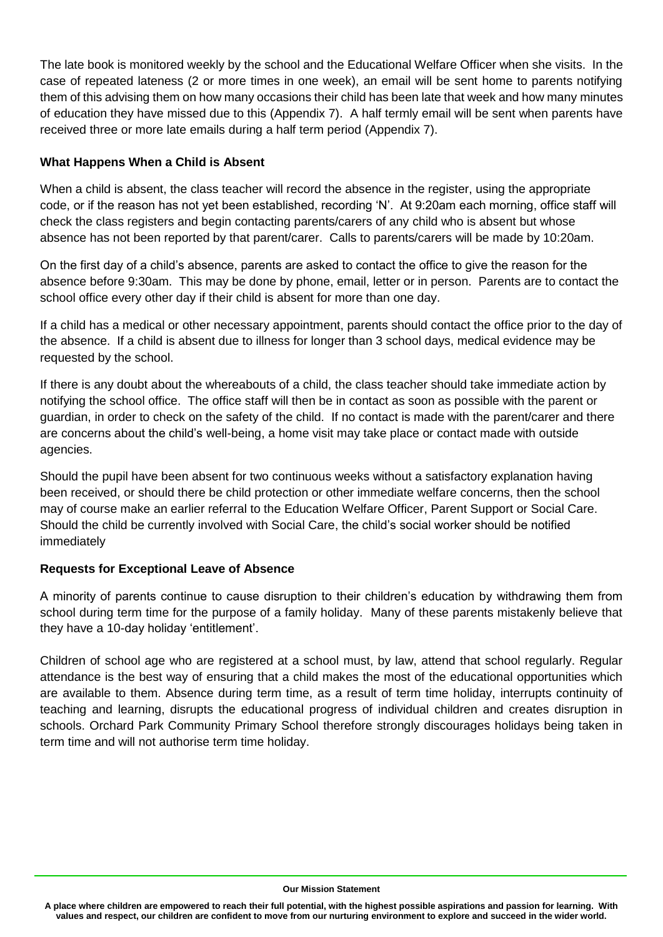The late book is monitored weekly by the school and the Educational Welfare Officer when she visits. In the case of repeated lateness (2 or more times in one week), an email will be sent home to parents notifying them of this advising them on how many occasions their child has been late that week and how many minutes of education they have missed due to this (Appendix 7). A half termly email will be sent when parents have received three or more late emails during a half term period (Appendix 7).

### **What Happens When a Child is Absent**

When a child is absent, the class teacher will record the absence in the register, using the appropriate code, or if the reason has not yet been established, recording 'N'. At 9:20am each morning, office staff will check the class registers and begin contacting parents/carers of any child who is absent but whose absence has not been reported by that parent/carer. Calls to parents/carers will be made by 10:20am.

On the first day of a child's absence, parents are asked to contact the office to give the reason for the absence before 9:30am. This may be done by phone, email, letter or in person. Parents are to contact the school office every other day if their child is absent for more than one day.

If a child has a medical or other necessary appointment, parents should contact the office prior to the day of the absence. If a child is absent due to illness for longer than 3 school days, medical evidence may be requested by the school.

If there is any doubt about the whereabouts of a child, the class teacher should take immediate action by notifying the school office. The office staff will then be in contact as soon as possible with the parent or guardian, in order to check on the safety of the child. If no contact is made with the parent/carer and there are concerns about the child's well-being, a home visit may take place or contact made with outside agencies.

Should the pupil have been absent for two continuous weeks without a satisfactory explanation having been received, or should there be child protection or other immediate welfare concerns, then the school may of course make an earlier referral to the Education Welfare Officer, Parent Support or Social Care. Should the child be currently involved with Social Care, the child's social worker should be notified immediately

#### **Requests for Exceptional Leave of Absence**

A minority of parents continue to cause disruption to their children's education by withdrawing them from school during term time for the purpose of a family holiday. Many of these parents mistakenly believe that they have a 10-day holiday 'entitlement'.

Children of school age who are registered at a school must, by law, attend that school regularly. Regular attendance is the best way of ensuring that a child makes the most of the educational opportunities which are available to them. Absence during term time, as a result of term time holiday, interrupts continuity of teaching and learning, disrupts the educational progress of individual children and creates disruption in schools. Orchard Park Community Primary School therefore strongly discourages holidays being taken in term time and will not authorise term time holiday.

#### **Our Mission Statement**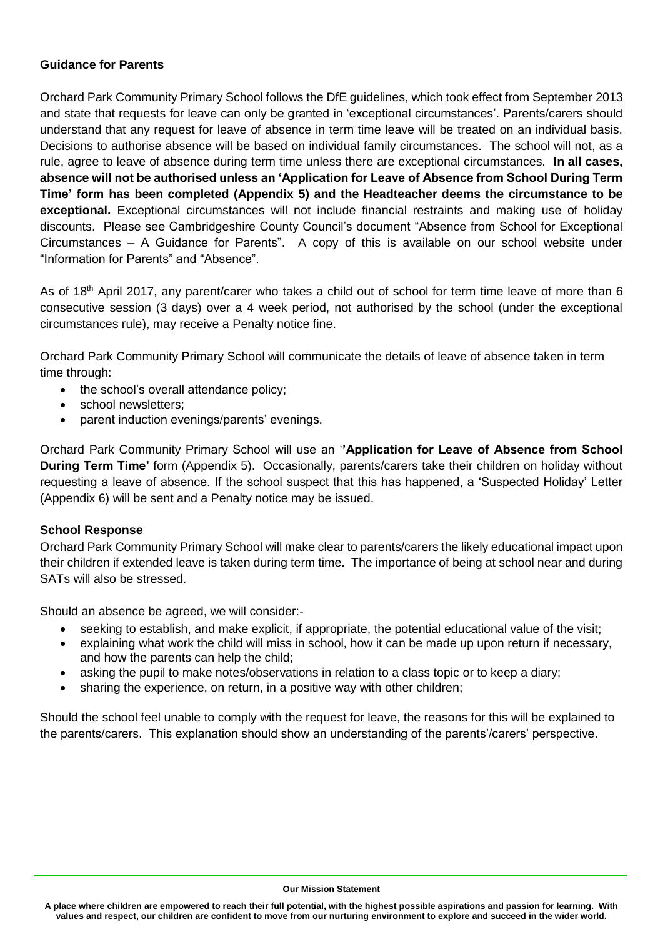#### **Guidance for Parents**

Orchard Park Community Primary School follows the DfE guidelines, which took effect from September 2013 and state that requests for leave can only be granted in 'exceptional circumstances'. Parents/carers should understand that any request for leave of absence in term time leave will be treated on an individual basis. Decisions to authorise absence will be based on individual family circumstances. The school will not, as a rule, agree to leave of absence during term time unless there are exceptional circumstances. **In all cases, absence will not be authorised unless an 'Application for Leave of Absence from School During Term Time' form has been completed (Appendix 5) and the Headteacher deems the circumstance to be exceptional.** Exceptional circumstances will not include financial restraints and making use of holiday discounts. Please see Cambridgeshire County Council's document "Absence from School for Exceptional Circumstances – A Guidance for Parents". A copy of this is available on our school website under "Information for Parents" and "Absence".

As of 18<sup>th</sup> April 2017, any parent/carer who takes a child out of school for term time leave of more than 6 consecutive session (3 days) over a 4 week period, not authorised by the school (under the exceptional circumstances rule), may receive a Penalty notice fine.

Orchard Park Community Primary School will communicate the details of leave of absence taken in term time through:

- the school's overall attendance policy;
- school newsletters:
- parent induction evenings/parents' evenings.

Orchard Park Community Primary School will use an '**'Application for Leave of Absence from School During Term Time'** form (Appendix 5). Occasionally, parents/carers take their children on holiday without requesting a leave of absence. If the school suspect that this has happened, a 'Suspected Holiday' Letter (Appendix 6) will be sent and a Penalty notice may be issued.

#### **School Response**

Orchard Park Community Primary School will make clear to parents/carers the likely educational impact upon their children if extended leave is taken during term time. The importance of being at school near and during SATs will also be stressed.

Should an absence be agreed, we will consider:-

- seeking to establish, and make explicit, if appropriate, the potential educational value of the visit;
- explaining what work the child will miss in school, how it can be made up upon return if necessary, and how the parents can help the child;
- asking the pupil to make notes/observations in relation to a class topic or to keep a diary;
- sharing the experience, on return, in a positive way with other children;

Should the school feel unable to comply with the request for leave, the reasons for this will be explained to the parents/carers. This explanation should show an understanding of the parents'/carers' perspective.

#### **Our Mission Statement**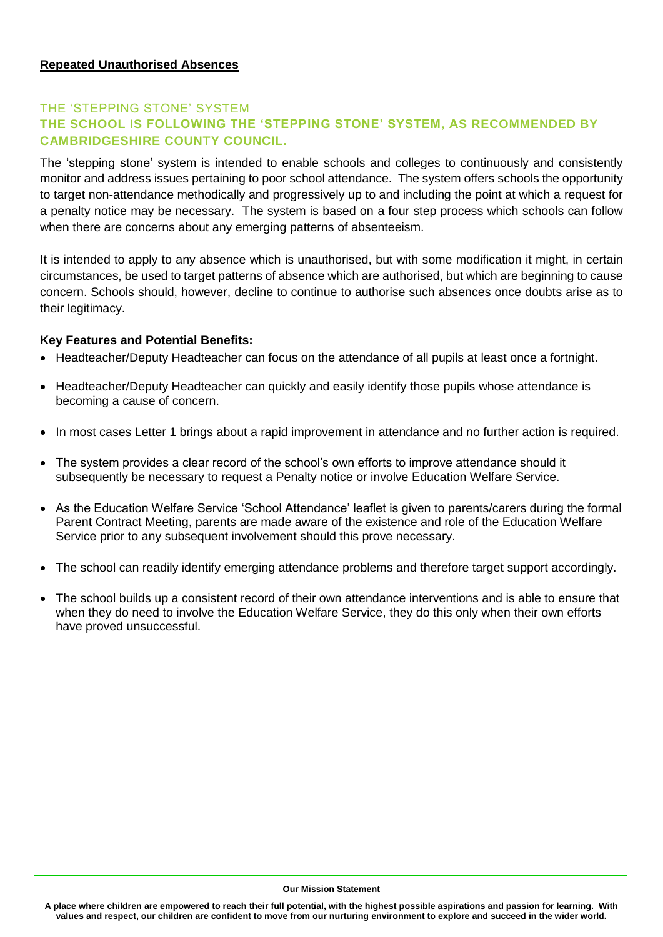# THE 'STEPPING STONE' SYSTEM **THE SCHOOL IS FOLLOWING THE 'STEPPING STONE' SYSTEM, AS RECOMMENDED BY CAMBRIDGESHIRE COUNTY COUNCIL.**

The 'stepping stone' system is intended to enable schools and colleges to continuously and consistently monitor and address issues pertaining to poor school attendance. The system offers schools the opportunity to target non-attendance methodically and progressively up to and including the point at which a request for a penalty notice may be necessary. The system is based on a four step process which schools can follow when there are concerns about any emerging patterns of absenteeism.

It is intended to apply to any absence which is unauthorised, but with some modification it might, in certain circumstances, be used to target patterns of absence which are authorised, but which are beginning to cause concern. Schools should, however, decline to continue to authorise such absences once doubts arise as to their legitimacy.

#### **Key Features and Potential Benefits:**

- Headteacher/Deputy Headteacher can focus on the attendance of all pupils at least once a fortnight.
- Headteacher/Deputy Headteacher can quickly and easily identify those pupils whose attendance is becoming a cause of concern.
- In most cases Letter 1 brings about a rapid improvement in attendance and no further action is required.
- The system provides a clear record of the school's own efforts to improve attendance should it subsequently be necessary to request a Penalty notice or involve Education Welfare Service.
- As the Education Welfare Service 'School Attendance' leaflet is given to parents/carers during the formal Parent Contract Meeting, parents are made aware of the existence and role of the Education Welfare Service prior to any subsequent involvement should this prove necessary.
- The school can readily identify emerging attendance problems and therefore target support accordingly.
- The school builds up a consistent record of their own attendance interventions and is able to ensure that when they do need to involve the Education Welfare Service, they do this only when their own efforts have proved unsuccessful.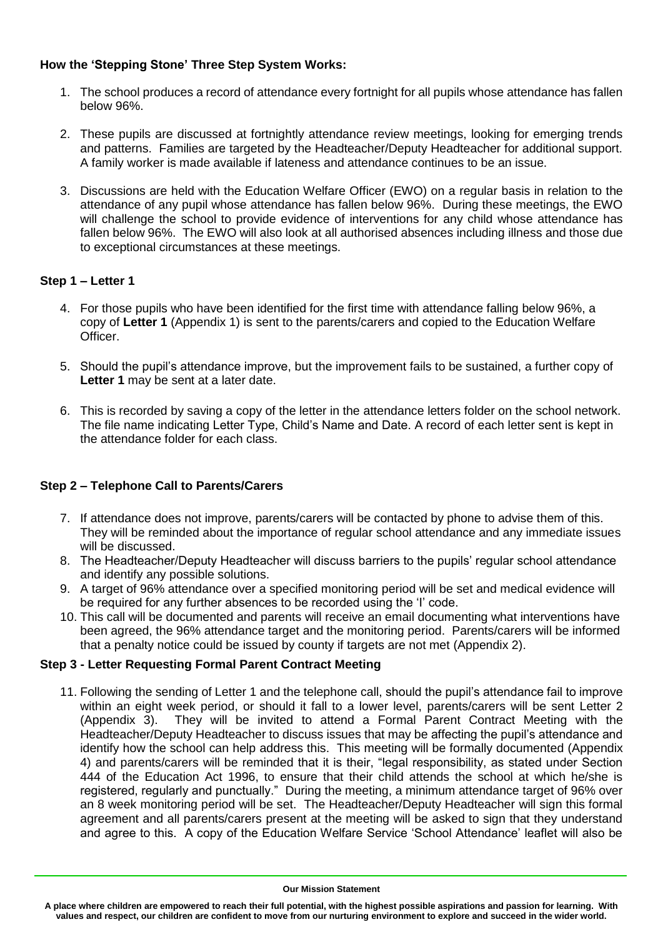# **How the 'Stepping Stone' Three Step System Works:**

- 1. The school produces a record of attendance every fortnight for all pupils whose attendance has fallen below 96%.
- 2. These pupils are discussed at fortnightly attendance review meetings, looking for emerging trends and patterns. Families are targeted by the Headteacher/Deputy Headteacher for additional support. A family worker is made available if lateness and attendance continues to be an issue.
- 3. Discussions are held with the Education Welfare Officer (EWO) on a regular basis in relation to the attendance of any pupil whose attendance has fallen below 96%. During these meetings, the EWO will challenge the school to provide evidence of interventions for any child whose attendance has fallen below 96%. The EWO will also look at all authorised absences including illness and those due to exceptional circumstances at these meetings.

# **Step 1 – Letter 1**

- 4. For those pupils who have been identified for the first time with attendance falling below 96%, a copy of **Letter 1** (Appendix 1) is sent to the parents/carers and copied to the Education Welfare Officer.
- 5. Should the pupil's attendance improve, but the improvement fails to be sustained, a further copy of Letter 1 may be sent at a later date.
- 6. This is recorded by saving a copy of the letter in the attendance letters folder on the school network. The file name indicating Letter Type, Child's Name and Date. A record of each letter sent is kept in the attendance folder for each class.

# **Step 2 – Telephone Call to Parents/Carers**

- 7. If attendance does not improve, parents/carers will be contacted by phone to advise them of this. They will be reminded about the importance of regular school attendance and any immediate issues will be discussed.
- 8. The Headteacher/Deputy Headteacher will discuss barriers to the pupils' regular school attendance and identify any possible solutions.
- 9. A target of 96% attendance over a specified monitoring period will be set and medical evidence will be required for any further absences to be recorded using the 'I' code.
- 10. This call will be documented and parents will receive an email documenting what interventions have been agreed, the 96% attendance target and the monitoring period. Parents/carers will be informed that a penalty notice could be issued by county if targets are not met (Appendix 2).

#### **Step 3 - Letter Requesting Formal Parent Contract Meeting**

11. Following the sending of Letter 1 and the telephone call, should the pupil's attendance fail to improve within an eight week period, or should it fall to a lower level, parents/carers will be sent Letter 2 (Appendix 3). They will be invited to attend a Formal Parent Contract Meeting with the Headteacher/Deputy Headteacher to discuss issues that may be affecting the pupil's attendance and identify how the school can help address this. This meeting will be formally documented (Appendix 4) and parents/carers will be reminded that it is their, "legal responsibility, as stated under Section 444 of the Education Act 1996, to ensure that their child attends the school at which he/she is registered, regularly and punctually." During the meeting, a minimum attendance target of 96% over an 8 week monitoring period will be set. The Headteacher/Deputy Headteacher will sign this formal agreement and all parents/carers present at the meeting will be asked to sign that they understand and agree to this. A copy of the Education Welfare Service 'School Attendance' leaflet will also be

**Our Mission Statement**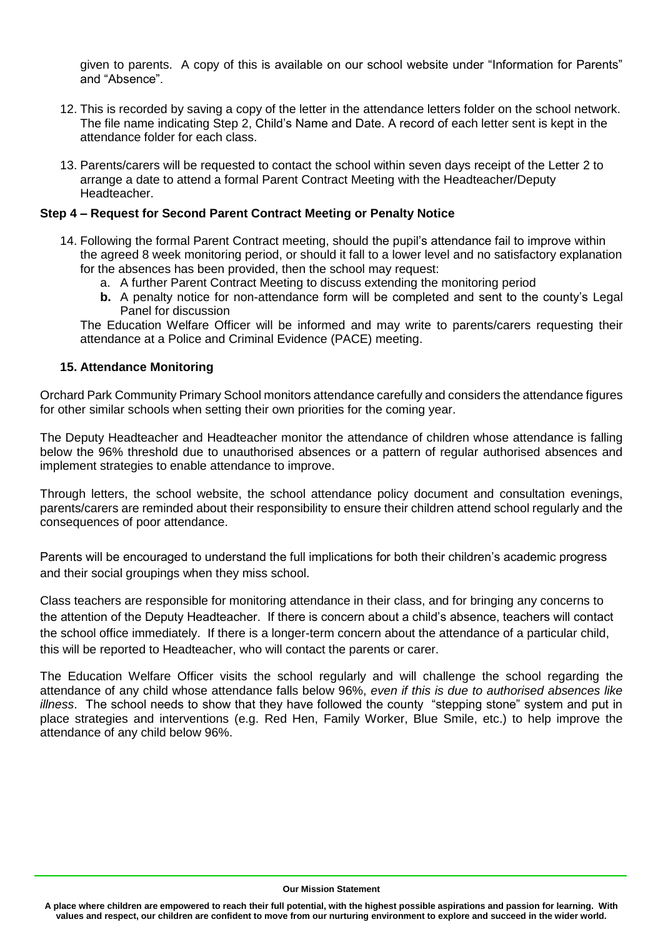given to parents. A copy of this is available on our school website under "Information for Parents" and "Absence".

- 12. This is recorded by saving a copy of the letter in the attendance letters folder on the school network. The file name indicating Step 2, Child's Name and Date. A record of each letter sent is kept in the attendance folder for each class.
- 13. Parents/carers will be requested to contact the school within seven days receipt of the Letter 2 to arrange a date to attend a formal Parent Contract Meeting with the Headteacher/Deputy Headteacher.

#### **Step 4 – Request for Second Parent Contract Meeting or Penalty Notice**

- 14. Following the formal Parent Contract meeting, should the pupil's attendance fail to improve within the agreed 8 week monitoring period, or should it fall to a lower level and no satisfactory explanation for the absences has been provided, then the school may request:
	- a. A further Parent Contract Meeting to discuss extending the monitoring period
	- **b.** A penalty notice for non-attendance form will be completed and sent to the county's Legal Panel for discussion

The Education Welfare Officer will be informed and may write to parents/carers requesting their attendance at a Police and Criminal Evidence (PACE) meeting.

#### **15. Attendance Monitoring**

Orchard Park Community Primary School monitors attendance carefully and considers the attendance figures for other similar schools when setting their own priorities for the coming year.

The Deputy Headteacher and Headteacher monitor the attendance of children whose attendance is falling below the 96% threshold due to unauthorised absences or a pattern of regular authorised absences and implement strategies to enable attendance to improve.

Through letters, the school website, the school attendance policy document and consultation evenings, parents/carers are reminded about their responsibility to ensure their children attend school regularly and the consequences of poor attendance.

Parents will be encouraged to understand the full implications for both their children's academic progress and their social groupings when they miss school.

Class teachers are responsible for monitoring attendance in their class, and for bringing any concerns to the attention of the Deputy Headteacher. If there is concern about a child's absence, teachers will contact the school office immediately. If there is a longer-term concern about the attendance of a particular child, this will be reported to Headteacher, who will contact the parents or carer.

The Education Welfare Officer visits the school regularly and will challenge the school regarding the attendance of any child whose attendance falls below 96%, *even if this is due to authorised absences like illness*. The school needs to show that they have followed the county "stepping stone" system and put in place strategies and interventions (e.g. Red Hen, Family Worker, Blue Smile, etc.) to help improve the attendance of any child below 96%.

#### **Our Mission Statement**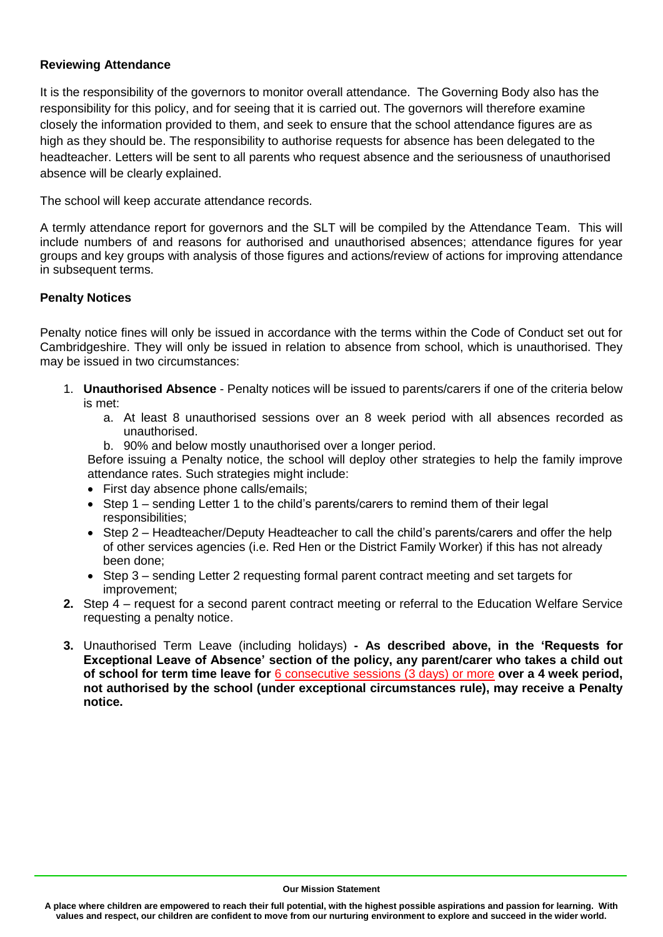#### **Reviewing Attendance**

It is the responsibility of the governors to monitor overall attendance. The Governing Body also has the responsibility for this policy, and for seeing that it is carried out. The governors will therefore examine closely the information provided to them, and seek to ensure that the school attendance figures are as high as they should be. The responsibility to authorise requests for absence has been delegated to the headteacher. Letters will be sent to all parents who request absence and the seriousness of unauthorised absence will be clearly explained.

The school will keep accurate attendance records.

A termly attendance report for governors and the SLT will be compiled by the Attendance Team. This will include numbers of and reasons for authorised and unauthorised absences; attendance figures for year groups and key groups with analysis of those figures and actions/review of actions for improving attendance in subsequent terms.

#### **Penalty Notices**

Penalty notice fines will only be issued in accordance with the terms within the Code of Conduct set out for Cambridgeshire. They will only be issued in relation to absence from school, which is unauthorised. They may be issued in two circumstances:

- 1. **Unauthorised Absence**  Penalty notices will be issued to parents/carers if one of the criteria below is met:
	- a. At least 8 unauthorised sessions over an 8 week period with all absences recorded as unauthorised.
	- b. 90% and below mostly unauthorised over a longer period.

Before issuing a Penalty notice, the school will deploy other strategies to help the family improve attendance rates. Such strategies might include:

- First day absence phone calls/emails;
- Step 1 sending Letter 1 to the child's parents/carers to remind them of their legal responsibilities;
- Step 2 Headteacher/Deputy Headteacher to call the child's parents/carers and offer the help of other services agencies (i.e. Red Hen or the District Family Worker) if this has not already been done;
- Step 3 sending Letter 2 requesting formal parent contract meeting and set targets for improvement;
- **2.** Step 4 request for a second parent contract meeting or referral to the Education Welfare Service requesting a penalty notice.
- **3.** Unauthorised Term Leave (including holidays) **- As described above, in the 'Requests for Exceptional Leave of Absence' section of the policy, any parent/carer who takes a child out of school for term time leave for** 6 consecutive sessions (3 days) or more **over a 4 week period, not authorised by the school (under exceptional circumstances rule), may receive a Penalty notice.**

**Our Mission Statement**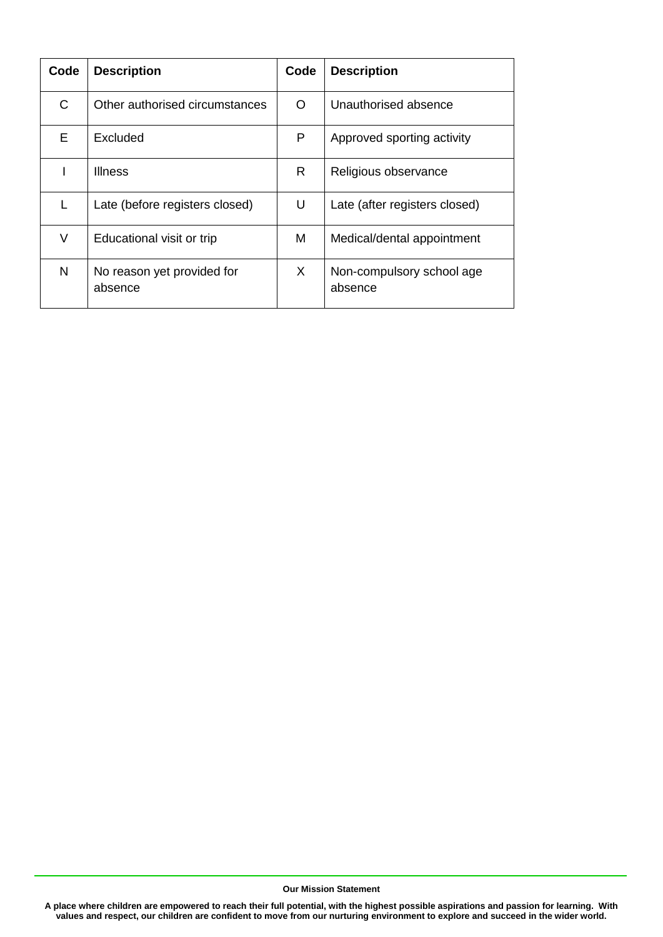| Code | <b>Description</b>                    | Code | <b>Description</b>                   |
|------|---------------------------------------|------|--------------------------------------|
| C    | Other authorised circumstances        | ∩    | Unauthorised absence                 |
| F    | Excluded                              | P    | Approved sporting activity           |
|      | <b>Illness</b>                        | R    | Religious observance                 |
|      | Late (before registers closed)        | U    | Late (after registers closed)        |
| V    | Educational visit or trip             | м    | Medical/dental appointment           |
| N    | No reason yet provided for<br>absence | X.   | Non-compulsory school age<br>absence |

**Our Mission Statement**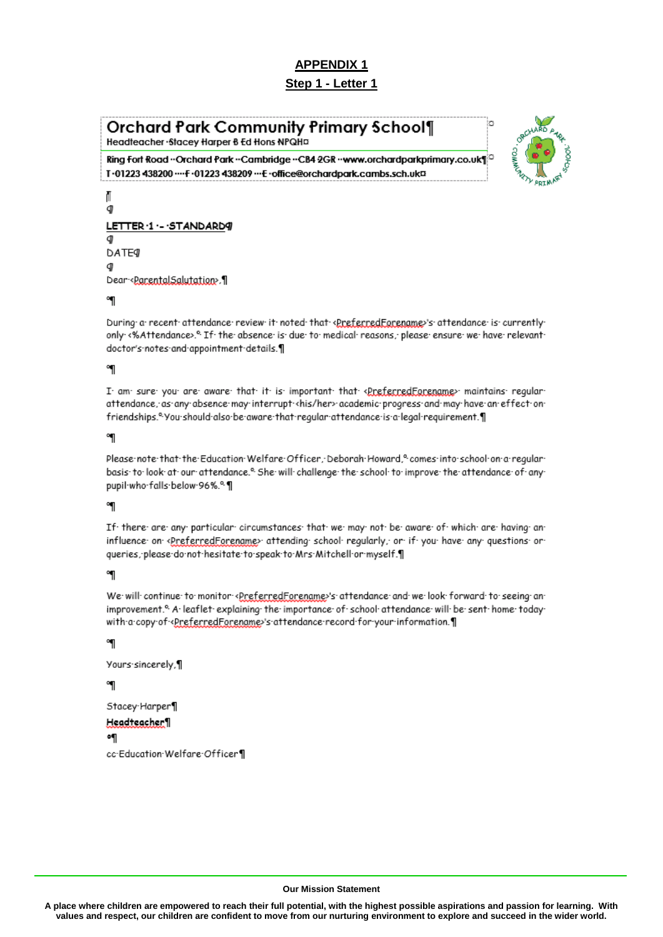# Step 1 - Letter 1

# Orchard Park Community Primary School¶

Headteacher · Stacey Harper 8 Ed Hons NPQHD

Ring Fort Road - Orchard Park - Cambridge - CB4 2GR - www.orchardparkprimary.co.uk¶<sup>3</sup> T·01223 438200 ···· F·01223 438209 ··· E·office@orchardpark.cambs.sch.uk¤



#### Л đ LETTER .1 . - . STANDARD9 d DATE a Dear-<ParentalSalutation>.

#### ៕

During a recent attendance review it noted that «PreferredFarename»'s attendance is currently only <%Attendance>.<sup>o.</sup> If the absence is due to medical reasons, please ensure we have relevant doctor's notes and appointment details.

#### ៕

I am sure you are aware that it is important that <preferredFarename> maintains reqular attendance, as any absence may interrupt <his/her> academic progress and may have an effect on friendships.<sup>o</sup>. You should also be aware that regular attendance is a legal requirement.

#### ٩Ţ

Please note that the Education Welfare Officer, Deborah Howard,<sup>o</sup> comes into school on a reqular basis to look at our attendance.<sup>®</sup> She will challenge the school to improve the attendance of any pupil-who-falls-below-96%.<sup>e.</sup>

#### ៕

If there are any particular circumstances that we may not be aware of which are having an influence on <PreferredForename> attending school reqularly, or if you have any questions or queries, please do not hesitate to speak to Mrs Mitchell or myself.

#### ٩

We will continue to monitor <PreferredForename>'s attendance and we look forward to seeing animprovement.<sup>8</sup> A leaflet explaining the importance of school attendance will be sent home today with a copy of <PreferredForename>'s attendance record for your information.

# ٩

```
Yours-sincerely,¶
៕
Stacey-Harper¶
Headteacher 1
۰¶
```
cc Education Welfare Officer¶

#### **Our Mission Statement**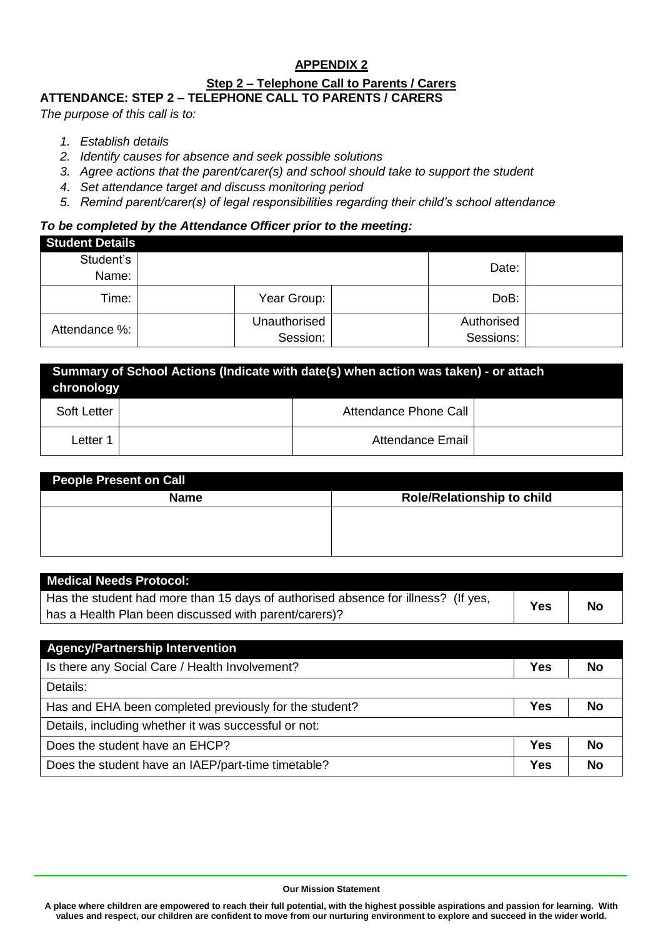### **APPENDIX 2 Step 2 – Telephone Call to Parents / Carers ATTENDANCE: STEP 2 – TELEPHONE CALL TO PARENTS / CARERS**

*The purpose of this call is to:*

- *1. Establish details*
- *2. Identify causes for absence and seek possible solutions*
- *3. Agree actions that the parent/carer(s) and school should take to support the student*
- *4. Set attendance target and discuss monitoring period*
- *5. Remind parent/carer(s) of legal responsibilities regarding their child's school attendance*

#### *To be completed by the Attendance Officer prior to the meeting:*

| <b>Student Details</b> |                          |                         |  |
|------------------------|--------------------------|-------------------------|--|
| Student's<br>Name:     |                          | Date:                   |  |
| Time:                  | Year Group:              | DoB:                    |  |
| Attendance %:          | Unauthorised<br>Session: | Authorised<br>Sessions: |  |

| Summary of School Actions (Indicate with date(s) when action was taken) - or attach<br>chronology |  |                       |  |
|---------------------------------------------------------------------------------------------------|--|-----------------------|--|
| Soft Letter                                                                                       |  | Attendance Phone Call |  |
| Letter 1                                                                                          |  | Attendance Email      |  |

| People Present on Call |                                   |
|------------------------|-----------------------------------|
| <b>Name</b>            | <b>Role/Relationship to child</b> |
|                        |                                   |
|                        |                                   |
|                        |                                   |

| <b>Medical Needs Protocol:</b>                                                    |     |           |
|-----------------------------------------------------------------------------------|-----|-----------|
| Has the student had more than 15 days of authorised absence for illness? (If yes, | Yes | <b>No</b> |
| has a Health Plan been discussed with parent/carers)?                             |     |           |
|                                                                                   |     |           |
| <b>Agency/Partnership Intervention</b>                                            |     |           |
| Is there any Social Care / Health Involvement?                                    | Yes | <b>No</b> |
| Details:                                                                          |     |           |
| Has and EHA been completed previously for the student?                            | Yes | <b>No</b> |
| Details, including whether it was successful or not:                              |     |           |

Does the student have an EHCP? **No** 

Does the student have an IAEP/part-time timetable? **Wes No** 

#### **Our Mission Statement**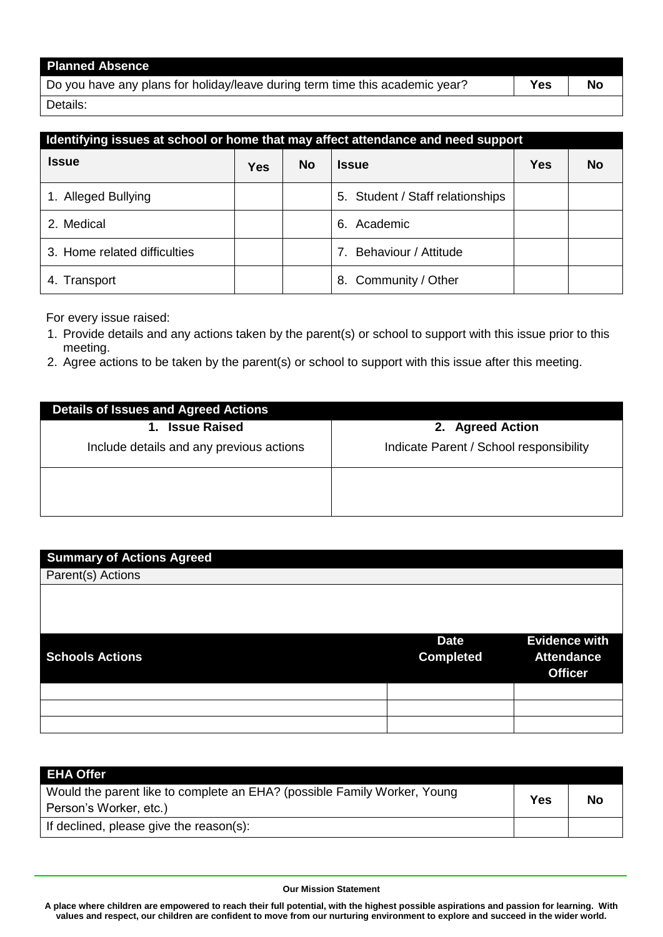| <b>Planned Absence</b>                                                       |            |    |
|------------------------------------------------------------------------------|------------|----|
| Do you have any plans for holiday/leave during term time this academic year? | <b>Yes</b> | No |
| Details:                                                                     |            |    |

| Identifying issues at school or home that may affect attendance and need support |            |           |                                  |            |           |
|----------------------------------------------------------------------------------|------------|-----------|----------------------------------|------------|-----------|
| <b>Issue</b>                                                                     | <b>Yes</b> | <b>No</b> | <b>Issue</b>                     | <b>Yes</b> | <b>No</b> |
| 1. Alleged Bullying                                                              |            |           | 5. Student / Staff relationships |            |           |
| 2. Medical                                                                       |            |           | Academic<br>6.                   |            |           |
| 3. Home related difficulties                                                     |            |           | Behaviour / Attitude             |            |           |
| Transport                                                                        |            |           | Community / Other<br>8.          |            |           |

For every issue raised:

- 1. Provide details and any actions taken by the parent(s) or school to support with this issue prior to this meeting.
- 2. Agree actions to be taken by the parent(s) or school to support with this issue after this meeting.

| <b>Details of Issues and Agreed Actions</b> |                                         |
|---------------------------------------------|-----------------------------------------|
| <b>Issue Raised</b><br>1.                   | 2. Agreed Action                        |
| Include details and any previous actions    | Indicate Parent / School responsibility |
|                                             |                                         |
|                                             |                                         |

| <b>Summary of Actions Agreed</b> |                  |                                     |
|----------------------------------|------------------|-------------------------------------|
| Parent(s) Actions                |                  |                                     |
|                                  |                  |                                     |
|                                  |                  |                                     |
|                                  |                  |                                     |
|                                  | <b>Date</b>      | <b>Evidence with</b>                |
| <b>Schools Actions</b>           | <b>Completed</b> | <b>Attendance</b><br><b>Officer</b> |
|                                  |                  |                                     |
|                                  |                  |                                     |
|                                  |                  |                                     |
|                                  |                  |                                     |

| <b>EHA Offer</b>                                                                                   |     |           |
|----------------------------------------------------------------------------------------------------|-----|-----------|
| Would the parent like to complete an EHA? (possible Family Worker, Young<br>Person's Worker, etc.) | Yes | <b>No</b> |
| If declined, please give the reason(s):                                                            |     |           |

#### **Our Mission Statement**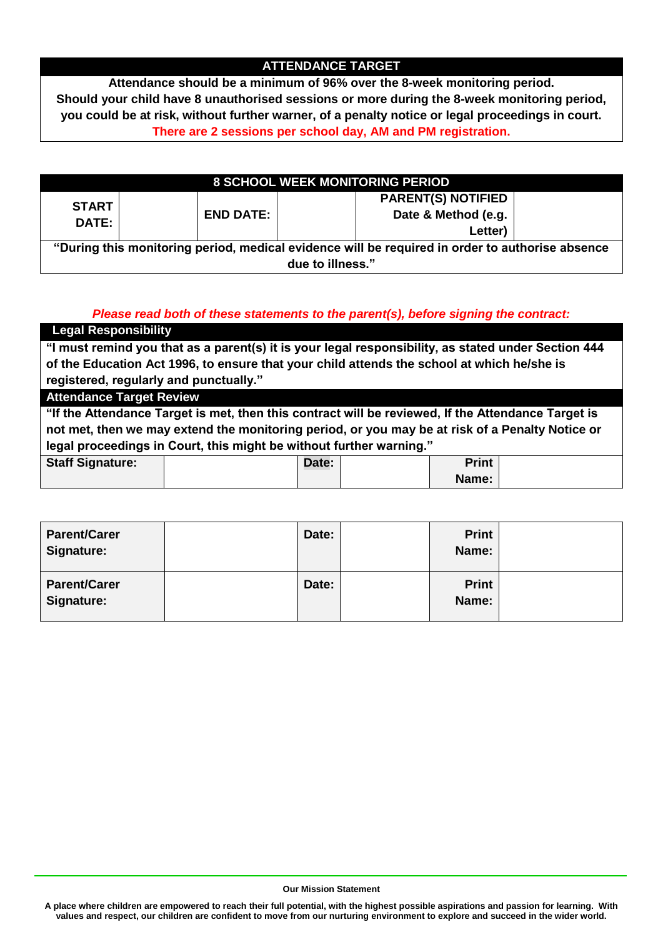# **ATTENDANCE TARGET**

**Attendance should be a minimum of 96% over the 8-week monitoring period. Should your child have 8 unauthorised sessions or more during the 8-week monitoring period, you could be at risk, without further warner, of a penalty notice or legal proceedings in court. There are 2 sessions per school day, AM and PM registration.**

| <b>8 SCHOOL WEEK MONITORING PERIOD</b>                                                          |                  |                           |  |
|-------------------------------------------------------------------------------------------------|------------------|---------------------------|--|
|                                                                                                 |                  | <b>PARENT(S) NOTIFIED</b> |  |
| <b>START</b>                                                                                    | <b>END DATE:</b> | Date & Method (e.g.       |  |
| <b>DATE:</b>                                                                                    |                  | Letter)                   |  |
| "During this monitoring period, medical evidence will be required in order to authorise absence |                  |                           |  |
| due to illness."                                                                                |                  |                           |  |

# *Please read both of these statements to the parent(s), before signing the contract:*

| <b>Legal Responsibility</b>                                                                         |                                                                                                    |       |  |              |  |  |
|-----------------------------------------------------------------------------------------------------|----------------------------------------------------------------------------------------------------|-------|--|--------------|--|--|
| "I must remind you that as a parent(s) it is your legal responsibility, as stated under Section 444 |                                                                                                    |       |  |              |  |  |
| of the Education Act 1996, to ensure that your child attends the school at which he/she is          |                                                                                                    |       |  |              |  |  |
| registered, regularly and punctually."                                                              |                                                                                                    |       |  |              |  |  |
|                                                                                                     | <b>Attendance Target Review</b>                                                                    |       |  |              |  |  |
|                                                                                                     | "If the Attendance Target is met, then this contract will be reviewed, If the Attendance Target is |       |  |              |  |  |
| not met, then we may extend the monitoring period, or you may be at risk of a Penalty Notice or     |                                                                                                    |       |  |              |  |  |
| legal proceedings in Court, this might be without further warning."                                 |                                                                                                    |       |  |              |  |  |
| <b>Staff Signature:</b>                                                                             |                                                                                                    | Date: |  | <b>Print</b> |  |  |
|                                                                                                     |                                                                                                    |       |  | Name:        |  |  |

| <b>Parent/Carer</b><br><b>Signature:</b> | Date: | <b>Print</b><br>Name: |  |
|------------------------------------------|-------|-----------------------|--|
| <b>Parent/Carer</b><br>Signature:        | Date: | <b>Print</b><br>Name: |  |

**Our Mission Statement**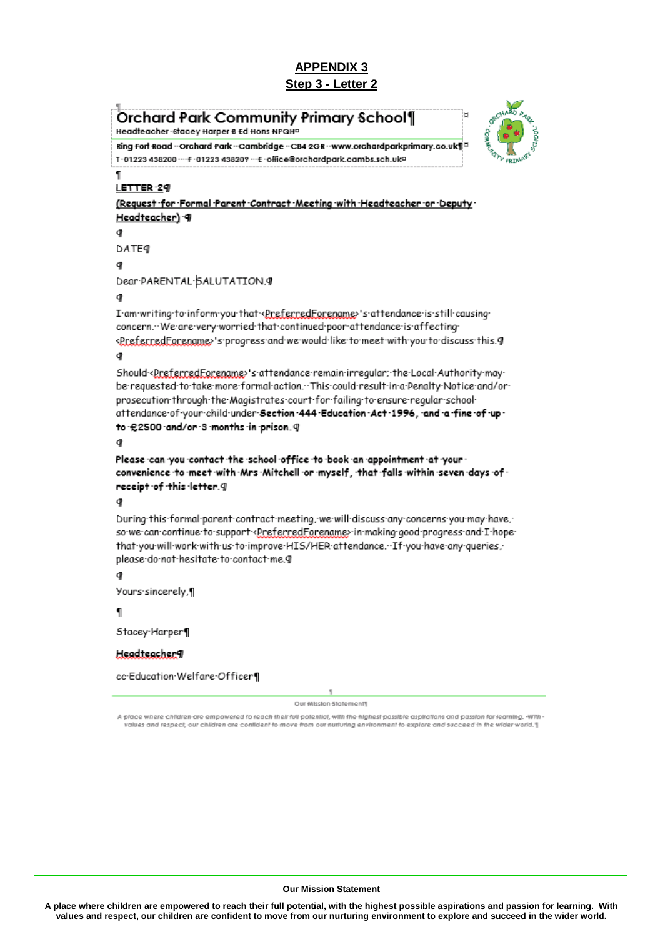**Orchard Park Community Primary School1** Headteacher - Stacey Harper & Ed Hons NPQHP



Ring fort Road ~Orchard Park ~Cambridge ~CB4 2GR ~www.orchardparkprimary.co.uk¶ T-01223 438200 --- F-01223 438209 --- E-office@orchardpark.cambs.sch.ukp

#### LETTER-29

(Request for Formal Parent Contract Meeting with Headteacher or Deputy Headteacher) 9

Œ **DATE** 

g)

Dear-PARENTAL-SALUTATION, 9

#### g

I am writing to inform you that <ereferredForename>'s attendance is still causing concern. We are very worried that continued poor attendance is affecting <PreferredFarename>'s progress and we would like to meet with you to discuss this. 9

#### q

Should-<preferredEarename>'s-attendance-remain-irreqular;-the-Local-Authority-maybe requested to take more formal action. This could result in a Penalty Notice and/or prosecution through the Magistrates court for failing to ensure regular school attendance of your child under Section -444 Education -Act -1996, -and -a -fine -of -up to £2500 and/or 3 months in prison. 9

Please can you contact the school office to book an appointment at your convenience to meet with Mrs Mitchell or myself, that falls within seven days of receipt of this letter. 9

#### đ

During this formal parent contract meeting, we will discuss any concerns you may have, sowe can continue to support <PreferredForename>in making good progress and I hope that you will work with us to improve HIS/HER attendance. If you have any queries, please do not hesitate to contact me.g

#### đ

Yours-sincerely,¶

П

Stacey-Harper¶

#### Headteacher9

cc Education Welfare Officer

ī

Our Mission Statement®

A place where children are empowered to reach their full potential, with the highest possible aspirations and passion for learning. -With ralues and respect, our children are confident to move from our nurturing environment to explore and succeed in the wider world. T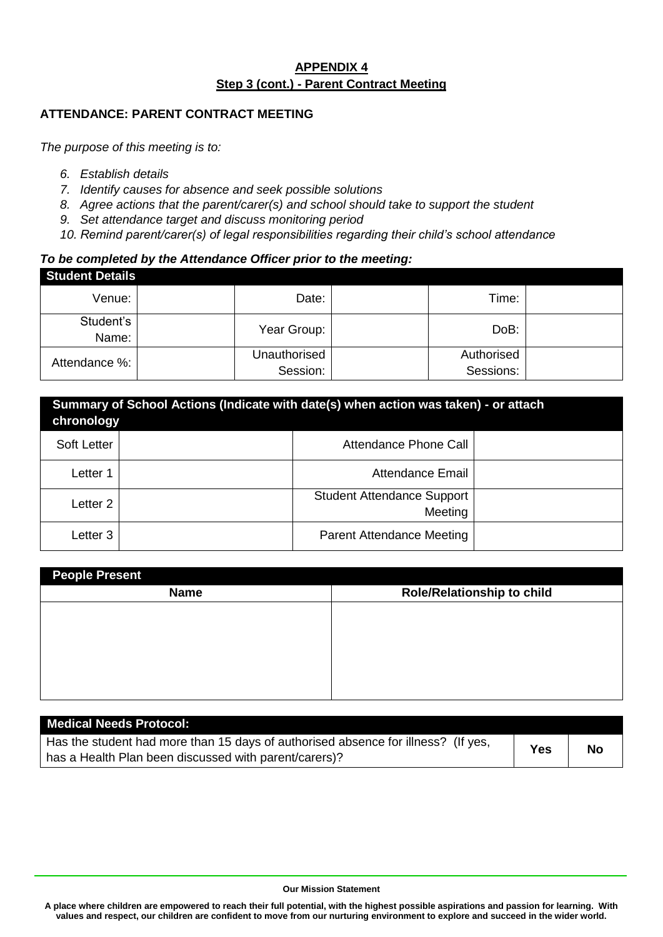# **APPENDIX 4 Step 3 (cont.) - Parent Contract Meeting**

# **ATTENDANCE: PARENT CONTRACT MEETING**

*The purpose of this meeting is to:*

- *6. Establish details*
- *7. Identify causes for absence and seek possible solutions*
- *8. Agree actions that the parent/carer(s) and school should take to support the student*
- *9. Set attendance target and discuss monitoring period*
- *10. Remind parent/carer(s) of legal responsibilities regarding their child's school attendance*

#### *To be completed by the Attendance Officer prior to the meeting:*

| <b>Student Details</b> |                          |                         |  |
|------------------------|--------------------------|-------------------------|--|
| Venue:                 | Date:                    | Time:                   |  |
| Student's<br>Name:     | Year Group:              | DoB:                    |  |
| Attendance %:          | Unauthorised<br>Session: | Authorised<br>Sessions: |  |

| Summary of School Actions (Indicate with date(s) when action was taken) - or attach<br>chronology |  |                                              |  |  |  |
|---------------------------------------------------------------------------------------------------|--|----------------------------------------------|--|--|--|
| Soft Letter                                                                                       |  | Attendance Phone Call                        |  |  |  |
| Letter 1                                                                                          |  | Attendance Email                             |  |  |  |
| Letter 2                                                                                          |  | <b>Student Attendance Support</b><br>Meeting |  |  |  |
| Letter 3                                                                                          |  | <b>Parent Attendance Meeting</b>             |  |  |  |

| <b>People Present</b>             |  |  |  |  |
|-----------------------------------|--|--|--|--|
| <b>Role/Relationship to child</b> |  |  |  |  |
|                                   |  |  |  |  |
|                                   |  |  |  |  |
|                                   |  |  |  |  |
|                                   |  |  |  |  |
|                                   |  |  |  |  |
|                                   |  |  |  |  |

| <b>Medical Needs Protocol:</b>                                                    |     |    |
|-----------------------------------------------------------------------------------|-----|----|
| Has the student had more than 15 days of authorised absence for illness? (If yes, | Yes | No |
| I has a Health Plan been discussed with parent/carers)?                           |     |    |

#### **Our Mission Statement**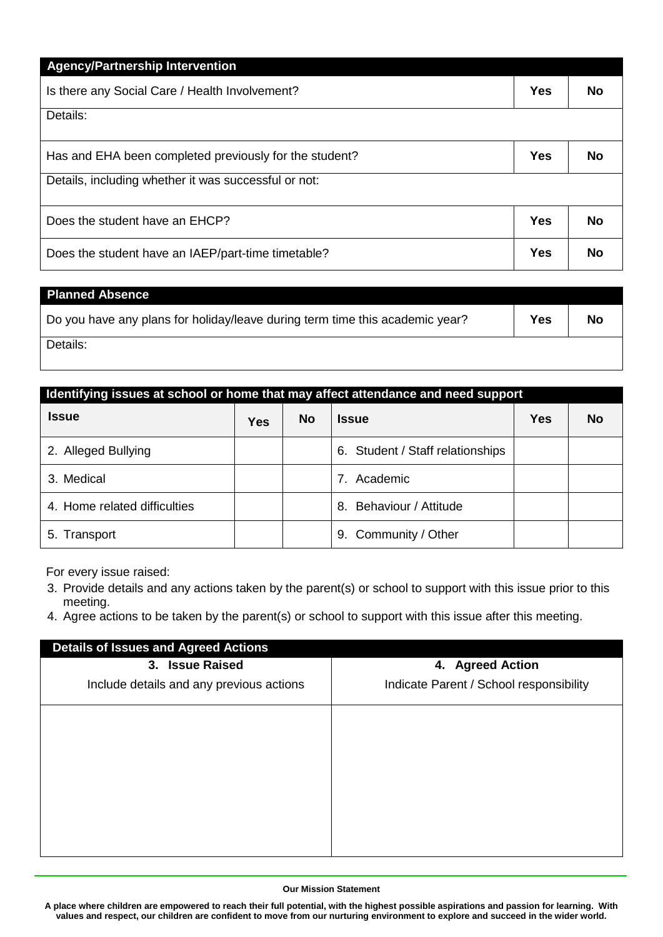| <b>Agency/Partnership Intervention</b>                 |            |           |
|--------------------------------------------------------|------------|-----------|
| Is there any Social Care / Health Involvement?         |            | <b>No</b> |
| Details:                                               |            |           |
| Has and EHA been completed previously for the student? | <b>Yes</b> | Nο        |
| Details, including whether it was successful or not:   |            |           |
| Does the student have an EHCP?                         | <b>Yes</b> | No        |
| Does the student have an IAEP/part-time timetable?     | <b>Yes</b> | No        |

| <b>Planned Absence</b>                                                       |     |    |
|------------------------------------------------------------------------------|-----|----|
| Do you have any plans for holiday/leave during term time this academic year? | Yes | No |
| Details:                                                                     |     |    |

| Identifying issues at school or home that may affect attendance and need support |            |           |                                  |            |           |  |
|----------------------------------------------------------------------------------|------------|-----------|----------------------------------|------------|-----------|--|
| <b>Issue</b>                                                                     | <b>Yes</b> | <b>No</b> | <b>Issue</b>                     | <b>Yes</b> | <b>No</b> |  |
| 2. Alleged Bullying                                                              |            |           | 6. Student / Staff relationships |            |           |  |
| 3. Medical                                                                       |            |           | Academic<br>7                    |            |           |  |
| 4. Home related difficulties                                                     |            |           | Behaviour / Attitude<br>8.       |            |           |  |
| 5. Transport                                                                     |            |           | 9. Community / Other             |            |           |  |

For every issue raised:

- 3. Provide details and any actions taken by the parent(s) or school to support with this issue prior to this meeting.
- 4. Agree actions to be taken by the parent(s) or school to support with this issue after this meeting.

| <b>Details of Issues and Agreed Actions</b> |                                         |  |  |  |  |
|---------------------------------------------|-----------------------------------------|--|--|--|--|
| <b>Issue Raised</b><br>3.                   | 4. Agreed Action                        |  |  |  |  |
| Include details and any previous actions    | Indicate Parent / School responsibility |  |  |  |  |
|                                             |                                         |  |  |  |  |
|                                             |                                         |  |  |  |  |
|                                             |                                         |  |  |  |  |
|                                             |                                         |  |  |  |  |
|                                             |                                         |  |  |  |  |
|                                             |                                         |  |  |  |  |

#### **Our Mission Statement**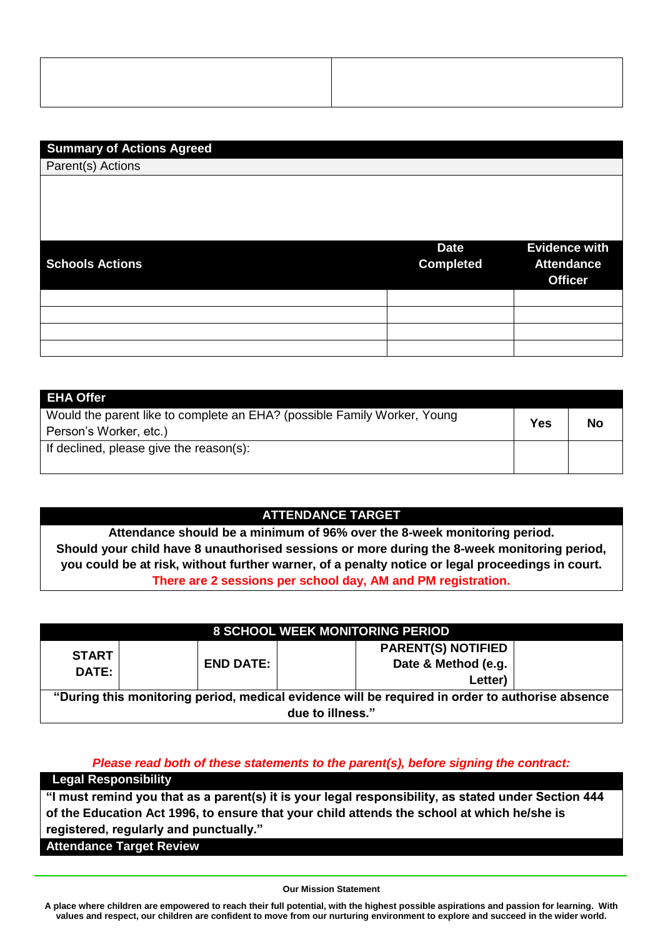# **Summary of Actions Agreed**

Parent(s) Actions

| <b>Schools Actions</b> | <b>Date</b><br><b>Completed</b> | <b>Evidence with</b><br><b>Attendance</b><br><b>Officer</b> |
|------------------------|---------------------------------|-------------------------------------------------------------|
|                        |                                 |                                                             |
|                        |                                 |                                                             |
|                        |                                 |                                                             |
|                        |                                 |                                                             |

| <b>EHA Offer</b>                                                         |           |  |
|--------------------------------------------------------------------------|-----------|--|
| Would the parent like to complete an EHA? (possible Family Worker, Young | Yes<br>No |  |
| Person's Worker, etc.)                                                   |           |  |
| If declined, please give the reason(s):                                  |           |  |
|                                                                          |           |  |

# **ATTENDANCE TARGET**

**Attendance should be a minimum of 96% over the 8-week monitoring period. Should your child have 8 unauthorised sessions or more during the 8-week monitoring period, you could be at risk, without further warner, of a penalty notice or legal proceedings in court. There are 2 sessions per school day, AM and PM registration.**

|                                                                                                 |                  | <b>8 SCHOOL WEEK MONITORING PERIOD</b> |  |
|-------------------------------------------------------------------------------------------------|------------------|----------------------------------------|--|
| <b>START</b><br><b>DATE:</b>                                                                    | <b>END DATE:</b> | <b>PARENT(S) NOTIFIED</b>              |  |
|                                                                                                 |                  | Date & Method (e.g.                    |  |
|                                                                                                 |                  | Letter)                                |  |
| "During this monitoring period, medical evidence will be required in order to authorise absence |                  |                                        |  |
| due to illness."                                                                                |                  |                                        |  |

#### *Please read both of these statements to the parent(s), before signing the contract:*

**Legal Responsibility**

**"I must remind you that as a parent(s) it is your legal responsibility, as stated under Section 444 of the Education Act 1996, to ensure that your child attends the school at which he/she is registered, regularly and punctually."**

**Attendance Target Review**

#### **Our Mission Statement**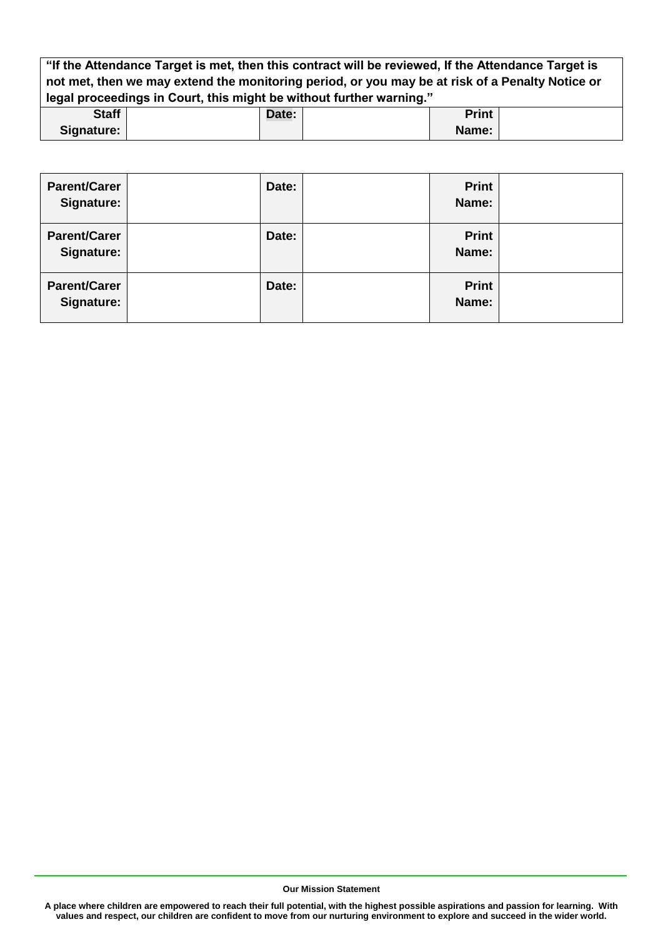**"If the Attendance Target is met, then this contract will be reviewed, If the Attendance Target is not met, then we may extend the monitoring period, or you may be at risk of a Penalty Notice or legal proceedings in Court, this might be without further warning."**

| <b>Staff</b> | Date: | Print |  |
|--------------|-------|-------|--|
| Signature:   |       | Name: |  |

| <b>Parent/Carer</b><br>Signature: | Date: | <b>Print</b><br>Name: |  |
|-----------------------------------|-------|-----------------------|--|
| <b>Parent/Carer</b><br>Signature: | Date: | <b>Print</b><br>Name: |  |
| <b>Parent/Carer</b><br>Signature: | Date: | <b>Print</b><br>Name: |  |

**Our Mission Statement**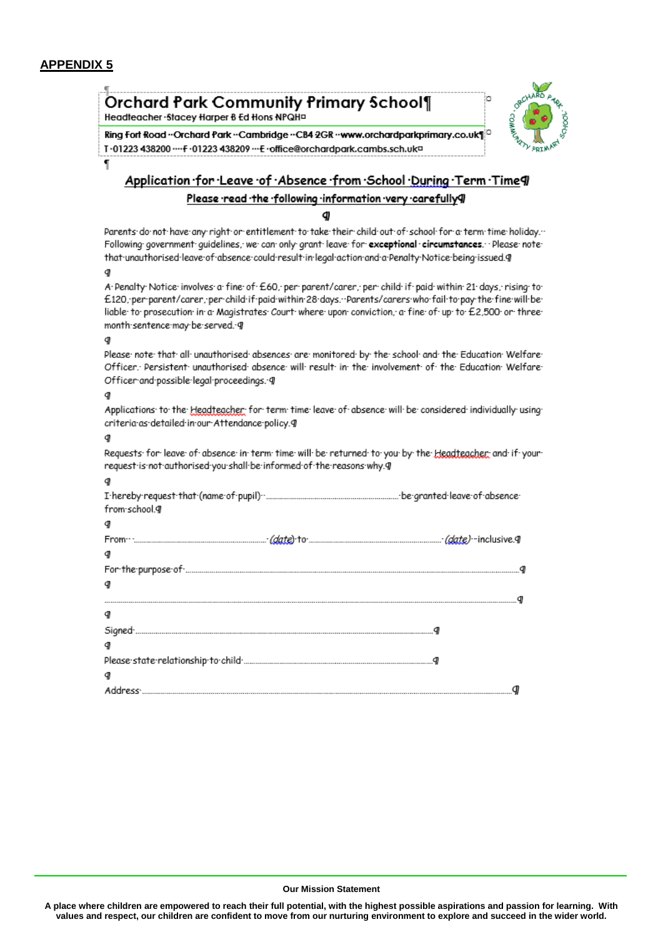# **APPENDIX 5**



#### **Our Mission Statement**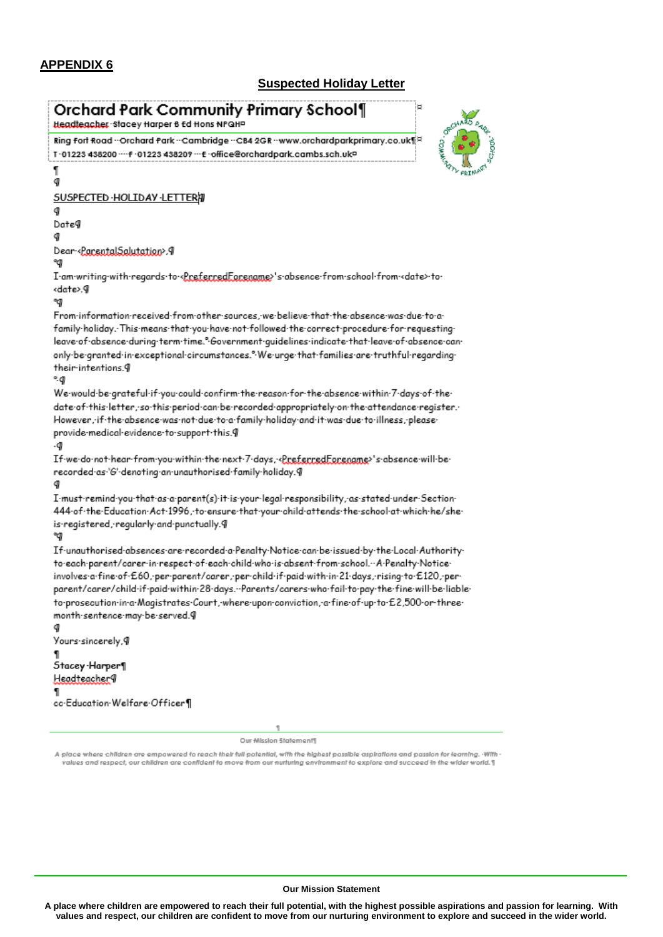# **APPENDIX 6**

# **Suspected Holiday Letter**

| я<br>Orchard Park Community Primary School¶<br>Headteacher - Stacey Harper B Ed Hons NPQHP                                                                                                          |
|-----------------------------------------------------------------------------------------------------------------------------------------------------------------------------------------------------|
| <b>CARLO DECIMIN</b><br>Ring fort Road - Orchard Park - Cambridge - CB4 2GR - www.orchardparkprimary.co.uk<br>T-01223 438200 ···· F-01223 438209 ··· E-office@orchardpark.cambs.sch.uk =            |
| ٦<br>q                                                                                                                                                                                              |
| <b>SUSPECTED HOLIDAY LETTERAT</b>                                                                                                                                                                   |
| g<br>Date¶                                                                                                                                                                                          |
|                                                                                                                                                                                                     |
| Dear RaceptalSalutation>.9<br>☜                                                                                                                                                                     |
| I am writing with regards to <u>RreferredForename</u> >'s absence from school from <date>to<br/><date>.¶</date></date>                                                                              |
| ☜                                                                                                                                                                                                   |
| From information received from other sources, we believe that the absence was due to a<br>family holiday. This means that you have not followed the correct procedure for requesting                |
| leave of absence during term time." Government guidelines indicate that leave of absence can<br>only be granted in exceptional circumstances." We urge that families are truthful regarding         |
| their intentions.9<br>۹g                                                                                                                                                                            |
| We would be grateful if you could confirm the reason for the absence within 7 days of the                                                                                                           |
| date of this letter, so this period can be recorded appropriately on the attendance register.                                                                                                       |
| :However, if the absence was not due to a family holiday and it was due to illness, please                                                                                                          |
| provide-medical-evidence-to-support-this.9<br>٠g                                                                                                                                                    |
| If we do not hear from you within the next 7 days, Creferred Forenome>'s absence will be                                                                                                            |
| recorded·as·'G'-denoting-an-unauthorised-family-holiday.9                                                                                                                                           |
|                                                                                                                                                                                                     |
| - I-must-remind-you-that-as-a-parent(s)-it-is-your-legal-responsibility, as stated-under-Section<br>-444-of-the-Education-Act-1996, to ensure that your child attends the school at which he/she    |
| is registered, regularly and punctually.9                                                                                                                                                           |
| If unauthorised absences are recorded a Penalty Notice can be issued by the Local Authority<br>to each parent/carer in respect of each child who is absent from school. A Penalty Notice            |
| involves a fine of E60, per parent/carer, per child if paid with in 21 days, rising to E120, per                                                                                                    |
| -parent/carer/child-if-paid-within-28-days.…Parents/carers-who-fail-to-pay-the-fine-will-be-liable<br>to prosecution in a Magistrates Court, where upon conviction, a fine of up to £2,500 or three |
| month-sentence-may-be-served.9                                                                                                                                                                      |
| q                                                                                                                                                                                                   |
| Yours∙sincerely,¶                                                                                                                                                                                   |
| Stacey Harper¶                                                                                                                                                                                      |
| Headteacher9                                                                                                                                                                                        |
| 1<br>cc-Education Welfare Officer¶                                                                                                                                                                  |
|                                                                                                                                                                                                     |

Our Mission Statement¶

A place where children are empowered to reach their full potential, with the highest possible aspirations and passion for learning. With<br>| values and respect, our children are confident to move from our nurturing environme

#### **Our Mission Statement**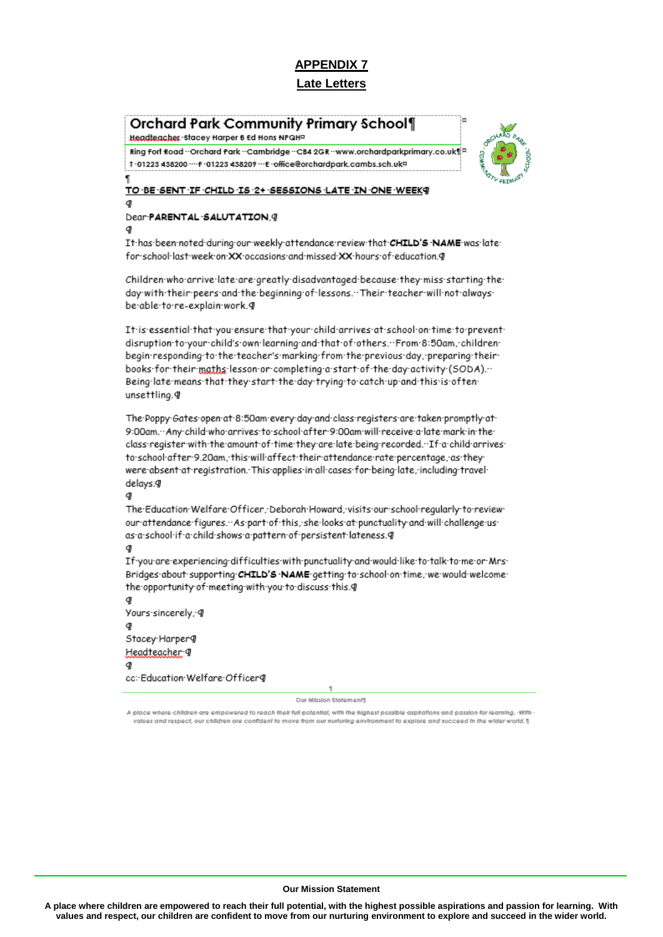# **Orchard Park Community Primary School¶**

Headteacher - Stacey Harper 6 Ed Hons NPQHP

Ring Fort Road - Orchard Park - Cambridge - CB4 2GR - www.orchardparkprimary.co.uk T-01223 438200 ---- F-01223 438209 --- E-office@orchardpark.cambs.sch.uk=



#### TO BE SENT IF CHILD IS 2+ SESSIONS LATE IN ONE WEEK? đ

#### Dear-PARENTAL-SALUTATION, 9 CD

It-has-been-noted-during-our-weekly-attendance-review-that-CHILD'S-NAME-was-latefor school last week on XX occasions and missed XX hours of education. 9

Children-who-arrive-late-are-greatly-disadvantaged-because-they-miss-starting-theday with their peers and the beginning of lessons. Their teacher will not always be-able-to-re-explain-work.g

It is essential that you ensure that your child arrives at school on time to prevent disruption to your child's own learning and that of others. From 8:50am, children begin:responding:to:the:teacher's:marking:from:the:previous:day,:preparing:theirbooks for their maths lesson or completing a start of the day activity (SODA). Being-late-means-that-they-start-the-day-trying-to-catch-up-and-this-is-oftenunsettling.g

The Poppy Gates open at 8:50am every day and class registers are taken promptly at 9:00am."Any child who arrives to school after 9:00am will receive a late mark in the class register with the amount of time they are late being recorded. If a child arrives to school after 9.20am, this will affect their attendance rate percentage, as they were absent at registration. This applies in all cases for being late, including travel delays.9 q

The Education Welfare Officer, Deborah Howard, visits our school reqularly to review our attendance figures. . As part of this, she looks at punctuality and will challenge usas a school if a child shows a pattern of persistent lateness. 9

If you are experiencing difficulties with punctuality and would like to talk to me or Mrs. Bridges-about-supporting-CHILD'S-NAME-getting-to-school-on-time, we would-welcomethe opportunity of meeting with you to discuss this.9

d Yours-sincerely, g đ Stacey·Harperg Headteacher: 9 q cc: Education Welfare Officer¶

Our Mission Statements

A place where children are empowered to reach their full potential, with the highest possible aspirations and passion for learning. -With values and respect, our children are confident to move from our nurturing environment to explore and succeed in the wider world.]

#### **Our Mission Statement**